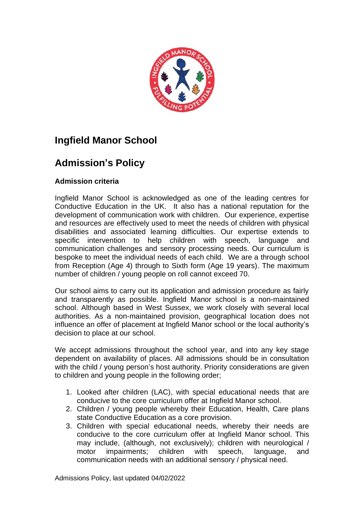

# **Ingfield Manor School**

# **Admission's Policy**

# **Admission criteria**

Ingfield Manor School is acknowledged as one of the leading centres for Conductive Education in the UK. It also has a national reputation for the development of communication work with children. Our experience, expertise and resources are effectively used to meet the needs of children with physical disabilities and associated learning difficulties. Our expertise extends to specific intervention to help children with speech, language and communication challenges and sensory processing needs. Our curriculum is bespoke to meet the individual needs of each child. We are a through school from Reception (Age 4) through to Sixth form (Age 19 years). The maximum number of children / young people on roll cannot exceed 70.

Our school aims to carry out its application and admission procedure as fairly and transparently as possible. Ingfield Manor school is a non-maintained school. Although based in West Sussex, we work closely with several local authorities. As a non-maintained provision, geographical location does not influence an offer of placement at Ingfield Manor school or the local authority's decision to place at our school.

We accept admissions throughout the school year, and into any key stage dependent on availability of places. All admissions should be in consultation with the child / young person's host authority. Priority considerations are given to children and young people in the following order;

- 1. Looked after children (LAC), with special educational needs that are conducive to the core curriculum offer at Ingfield Manor school.
- 2. Children / young people whereby their Education, Health, Care plans state Conductive Education as a core provision.
- 3. Children with special educational needs, whereby their needs are conducive to the core curriculum offer at Ingfield Manor school. This may include, (although, not exclusively); children with neurological / motor impairments; children with speech, language, and communication needs with an additional sensory / physical need.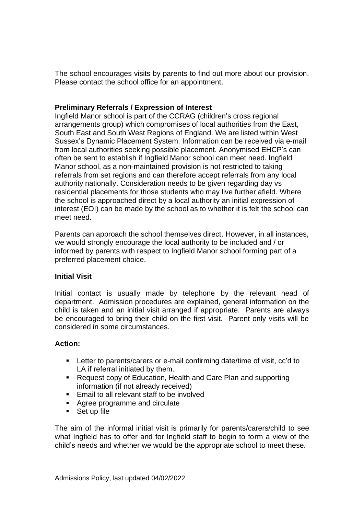The school encourages visits by parents to find out more about our provision. Please contact the school office for an appointment.

### **Preliminary Referrals / Expression of Interest**

Ingfield Manor school is part of the CCRAG (children's cross regional arrangements group) which compromises of local authorities from the East, South East and South West Regions of England. We are listed within West Sussex's Dynamic Placement System. Information can be received via e-mail from local authorities seeking possible placement. Anonymised EHCP's can often be sent to establish if Ingfield Manor school can meet need. Ingfield Manor school, as a non-maintained provision is not restricted to taking referrals from set regions and can therefore accept referrals from any local authority nationally. Consideration needs to be given regarding day vs residential placements for those students who may live further afield. Where the school is approached direct by a local authority an initial expression of interest (EOI) can be made by the school as to whether it is felt the school can meet need.

Parents can approach the school themselves direct. However, in all instances, we would strongly encourage the local authority to be included and / or informed by parents with respect to Ingfield Manor school forming part of a preferred placement choice.

# **Initial Visit**

Initial contact is usually made by telephone by the relevant head of department. Admission procedures are explained, general information on the child is taken and an initial visit arranged if appropriate. Parents are always be encouraged to bring their child on the first visit. Parent only visits will be considered in some circumstances.

# **Action:**

- Letter to parents/carers or e-mail confirming date/time of visit, cc'd to LA if referral initiated by them.
- Request copy of Education, Health and Care Plan and supporting information (if not already received)
- Email to all relevant staff to be involved
- Agree programme and circulate
- Set up file

The aim of the informal initial visit is primarily for parents/carers/child to see what Ingfield has to offer and for Ingfield staff to begin to form a view of the child's needs and whether we would be the appropriate school to meet these.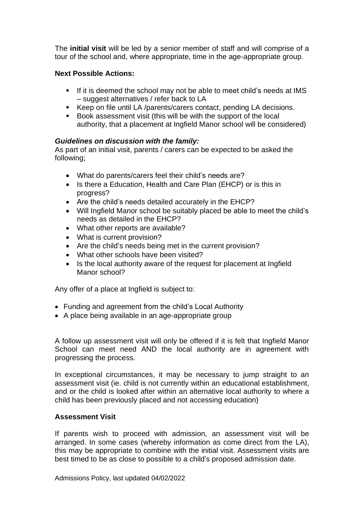The **initial visit** will be led by a senior member of staff and will comprise of a tour of the school and, where appropriate, time in the age-appropriate group.

## **Next Possible Actions:**

- If it is deemed the school may not be able to meet child's needs at IMS – suggest alternatives / refer back to LA
- Keep on file until LA /parents/carers contact, pending LA decisions.
- Book assessment visit (this will be with the support of the local authority, that a placement at Ingfield Manor school will be considered)

# *Guidelines on discussion with the family:*

As part of an initial visit, parents / carers can be expected to be asked the following;

- What do parents/carers feel their child's needs are?
- Is there a Education, Health and Care Plan (EHCP) or is this in progress?
- Are the child's needs detailed accurately in the EHCP?
- Will Ingfield Manor school be suitably placed be able to meet the child's needs as detailed in the EHCP?
- What other reports are available?
- What is current provision?
- Are the child's needs being met in the current provision?
- What other schools have been visited?
- Is the local authority aware of the request for placement at Ingfield Manor school?

Any offer of a place at Ingfield is subject to:

- Funding and agreement from the child's Local Authority
- A place being available in an age-appropriate group

A follow up assessment visit will only be offered if it is felt that Ingfield Manor School can meet need AND the local authority are in agreement with progressing the process.

In exceptional circumstances, it may be necessary to jump straight to an assessment visit (ie. child is not currently within an educational establishment, and or the child is looked after within an alternative local authority to where a child has been previously placed and not accessing education)

### **Assessment Visit**

If parents wish to proceed with admission, an assessment visit will be arranged. In some cases (whereby information as come direct from the LA), this may be appropriate to combine with the initial visit. Assessment visits are best timed to be as close to possible to a child's proposed admission date.

Admissions Policy, last updated 04/02/2022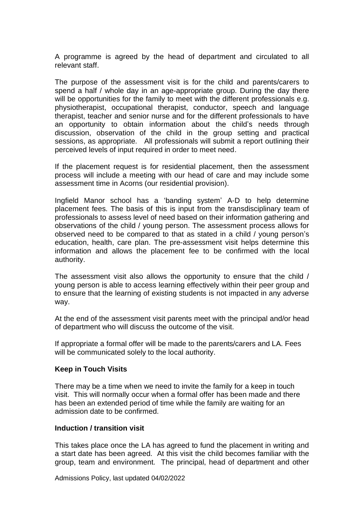A programme is agreed by the head of department and circulated to all relevant staff.

The purpose of the assessment visit is for the child and parents/carers to spend a half / whole day in an age-appropriate group. During the day there will be opportunities for the family to meet with the different professionals e.g. physiotherapist, occupational therapist, conductor, speech and language therapist, teacher and senior nurse and for the different professionals to have an opportunity to obtain information about the child's needs through discussion, observation of the child in the group setting and practical sessions, as appropriate. All professionals will submit a report outlining their perceived levels of input required in order to meet need.

If the placement request is for residential placement, then the assessment process will include a meeting with our head of care and may include some assessment time in Acorns (our residential provision).

Ingfield Manor school has a 'banding system' A-D to help determine placement fees. The basis of this is input from the transdisciplinary team of professionals to assess level of need based on their information gathering and observations of the child / young person. The assessment process allows for observed need to be compared to that as stated in a child / young person's education, health, care plan. The pre-assessment visit helps determine this information and allows the placement fee to be confirmed with the local authority.

The assessment visit also allows the opportunity to ensure that the child / young person is able to access learning effectively within their peer group and to ensure that the learning of existing students is not impacted in any adverse way.

At the end of the assessment visit parents meet with the principal and/or head of department who will discuss the outcome of the visit.

If appropriate a formal offer will be made to the parents/carers and LA. Fees will be communicated solely to the local authority.

#### **Keep in Touch Visits**

There may be a time when we need to invite the family for a keep in touch visit. This will normally occur when a formal offer has been made and there has been an extended period of time while the family are waiting for an admission date to be confirmed.

#### **Induction / transition visit**

This takes place once the LA has agreed to fund the placement in writing and a start date has been agreed. At this visit the child becomes familiar with the group, team and environment. The principal, head of department and other

Admissions Policy, last updated 04/02/2022